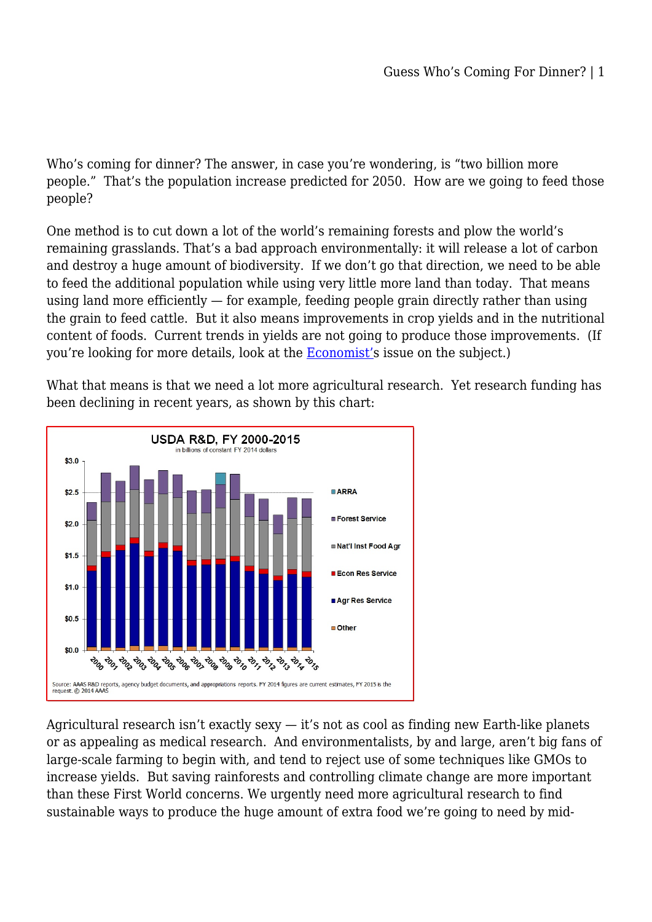Who's coming for dinner? The answer, in case you're wondering, is "two billion more people." That's the population increase predicted for 2050. How are we going to feed those people?

One method is to cut down a lot of the world's remaining forests and plow the world's remaining grasslands. That's a bad approach environmentally: it will release a lot of carbon and destroy a huge amount of biodiversity. If we don't go that direction, we need to be able to feed the additional population while using very little more land than today. That means using land more efficiently — for example, feeding people grain directly rather than using the grain to feed cattle. But it also means improvements in crop yields and in the nutritional content of foods. Current trends in yields are not going to produce those improvements. (If you're looking for more details, look at the [Economist'](http://www.economist.com/node/18200618)s issue on the subject.)

What that means is that we need a lot more agricultural research. Yet research funding has been declining in recent years, as shown by this chart:



Agricultural research isn't exactly sexy — it's not as cool as finding new Earth-like planets or as appealing as medical research. And environmentalists, by and large, aren't big fans of large-scale farming to begin with, and tend to reject use of some techniques like GMOs to increase yields. But saving rainforests and controlling climate change are more important than these First World concerns. We urgently need more agricultural research to find sustainable ways to produce the huge amount of extra food we're going to need by mid